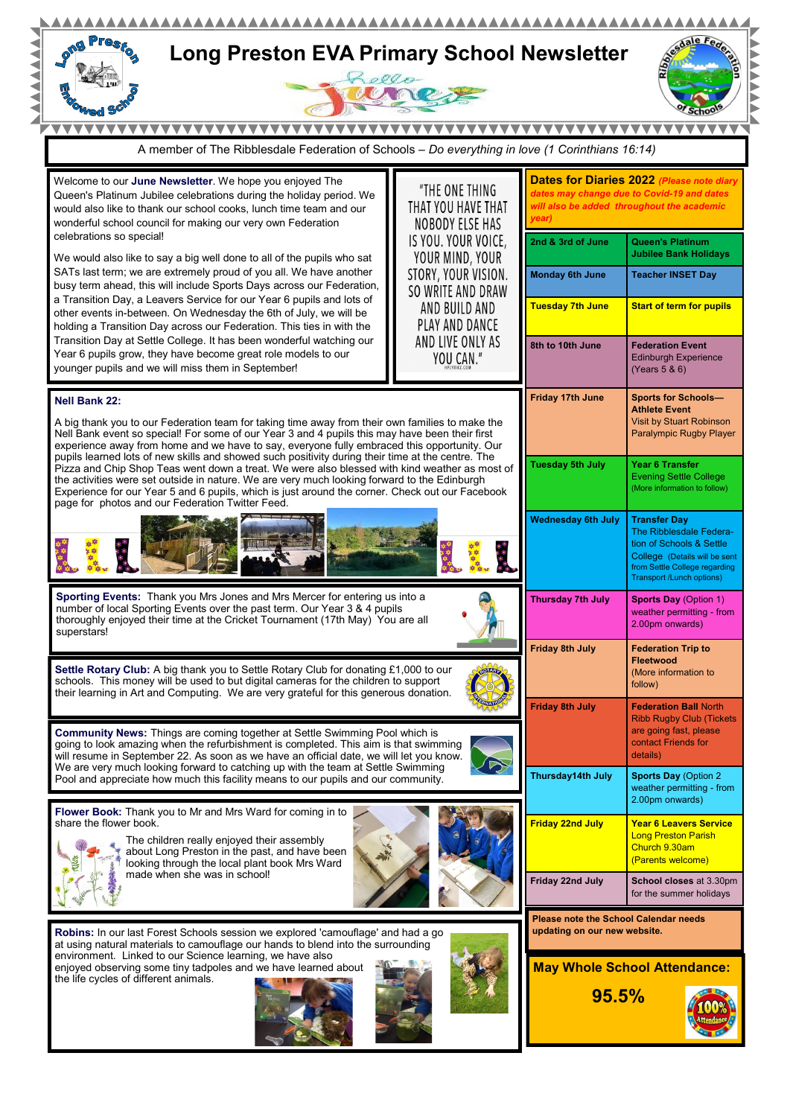